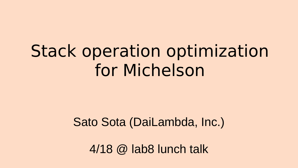### Stack operation optimization for Michelson

### Sato Sota (DaiLambda, Inc.)

4/18 @ lab8 lunch talk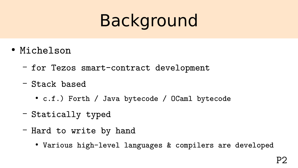## Background

- Michelson
	- for Tezos smart-contract development
	- Stack based
		- c.f.) Forth / Java bytecode / OCaml bytecode
	- Statically typed
	- Hard to write by hand
		- Various high-level languages & compilers are developed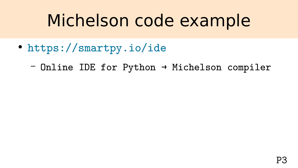### Michelson code example

- <https://smartpy.io/ide>
	- Online IDE for Python → Michelson compiler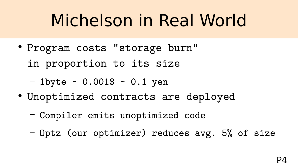## Michelson in Real World

- Program costs "storage burn"
	- in proportion to its size
	- $-$  1byte  $\sim$  0.001\$  $\sim$  0.1 yen
- Unoptimized contracts are deployed
	- Compiler emits unoptimized code
	- Optz (our optimizer) reduces avg. 5% of size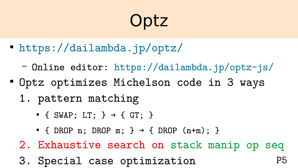# **Optz**

- <https://dailambda.jp/optz/>
	- Online editor: <https://dailambda.jp/optz-js/>
- Optz optimizes Michelson code in 3 ways
	- 1. pattern matching
		- { SWAP; LT; }  $\rightarrow$  { GT; }
		- { DROP n; DROP m; }  $\rightarrow$  { DROP (n+m); }

2. Exhaustive search on stack manip op seq

P5

3. Special case optimization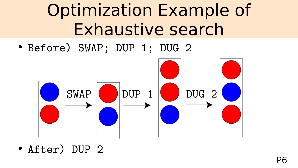### Optimization Example of Exhaustive search

● Before) SWAP; DUP 1; DUG 2



● After) DUP 2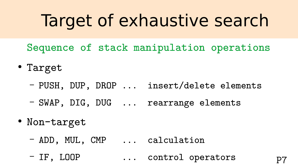### Target of exhaustive search

- Sequence of stack manipulation operations
- Target
	- PUSH, DUP, DROP ... insert/delete elements
	- SWAP, DIG, DUG ... rearrange elements
- Non-target
	- ADD, MUL, CMP ... calculation
	- IF, LOOP ... control operators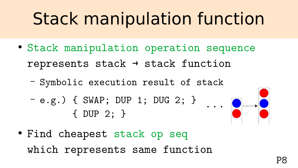# Stack manipulation function

- Stack manipulation operation sequence represents stack  $\rightarrow$  stack function
	- Symbolic execution result of stack
	- e.g.) { SWAP; DUP 1; DUG 2; } { DUP 2; }



● Find cheapest stack op seq which represents same function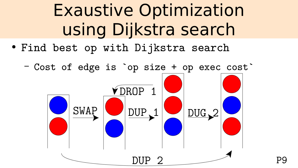## Exaustive Optimization using Dijkstra search

- Find best op with Dijkstra search
	- Cost of edge is `op size + op exec cost`

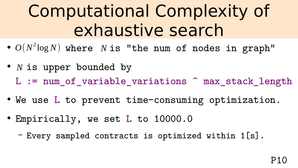### Computational Complexity of exhaustive search

- $\bullet$   $O(N^2 \log N)$  where  $N$  is "the num of nodes in graph"
- *N* is upper bounded by L := num\_of\_variable\_variations ^ max\_stack\_length
- We use L to prevent time-consuming optimization.
- Empirically, we set L to 10000.0
	- Every sampled contracts is optimized within 1[s].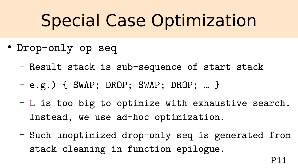## Special Case Optimization

- Drop-only op seq
	- Result stack is sub-sequence of start stack
	- e.g.) { SWAP; DROP; SWAP; DROP; … }
	- L is too big to optimize with exhaustive search. Instead, we use ad-hoc optimization.
	- Such unoptimized drop-only seq is generated from stack cleaning in function epilogue.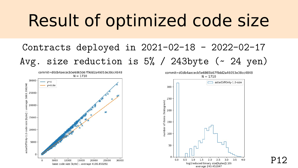### Result of optimized code size

### Contracts deployed in 2021-02-18 - 2022-02-17 Avg. size reduction is  $5\%$  / 243byte ( $\sim$  24 yen)



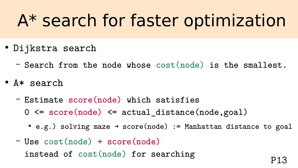### A\* search for faster optimization

- Dijkstra search
	- Search from the node whose cost(node) is the smallest.
- A\* search
	- Estimate score(node) which satisfies 0 <= score(node) <= actual\_distance(node,goal)
		- e.g.) solving maze  $\rightarrow$  score(node) := Manhattan distance to goal
	- Use cost(node) + score(node) instead of cost(node) for searching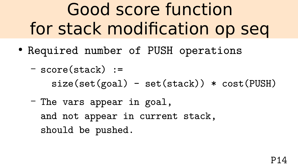Good score function for stack modification op seq

- Required number of PUSH operations
	- score(stack) :=  $size(set(goal) - set(stack)) * cost(PUSH)$
	- The vars appear in goal, and not appear in current stack, should be pushed.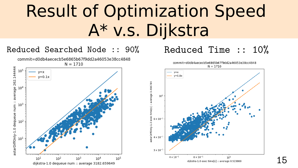### Result of Optimization Speed A\* v.s. Dijkstra



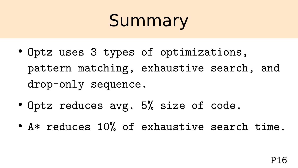### Summary

- Optz uses 3 types of optimizations, pattern matching, exhaustive search, and drop-only sequence.
- Optz reduces avg. 5% size of code.
- A\* reduces 10% of exhaustive search time.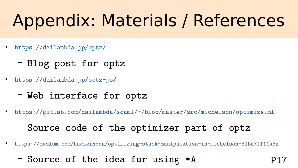## Appendix: Materials / References

- <https://dailambda.jp/optz/>
	- Blog post for optz
- <https://dailambda.jp/optz-js/>
	- Web interface for optz
- <https://gitlab.com/dailambda/scaml/-/blob/master/src/michelson/optimize.ml>
	- Source code of the optimizer part of optz
- <https://medium.com/hackernoon/optimizing-stack-manipulation-in-michelson-31ba7ff11a3a>

P17

– Source of the idea for using \*A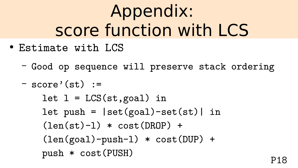## Appendix: score function with LCS

- Estimate with LCS
	- Good op sequence will preserve stack ordering

– score'(st) := let l = LCS(st,goal) in let push = |set(goal)-set(st)| in (len(st)-l) \* cost(DROP) + (len(goal)-push-l) \* cost(DUP) + push \* cost(PUSH)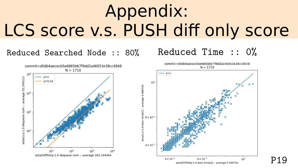# Appendix: LCS score v.s. PUSH diff only score

Reduced Searched Node :: 80% Reduced Time :: 0%





P19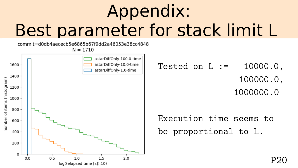# Appendix: Best parameter for stack limit L

commit=d0db4aececb5e6865b67f9dd2a46053e38cc4848

 $N = 1710$ 



Tested on  $L := 10000.0$ , 100000.0, 1000000.0

Execution time seems to be proportional to L.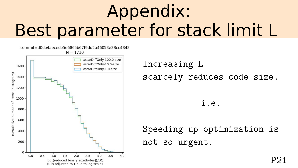# Appendix: Best parameter for stack limit L

commit=d0db4aececb5e6865b67f9dd2a46053e38cc4848



Increasing L scarcely reduces code size.

i.e.

Speeding up optimization is not so urgent.

P21